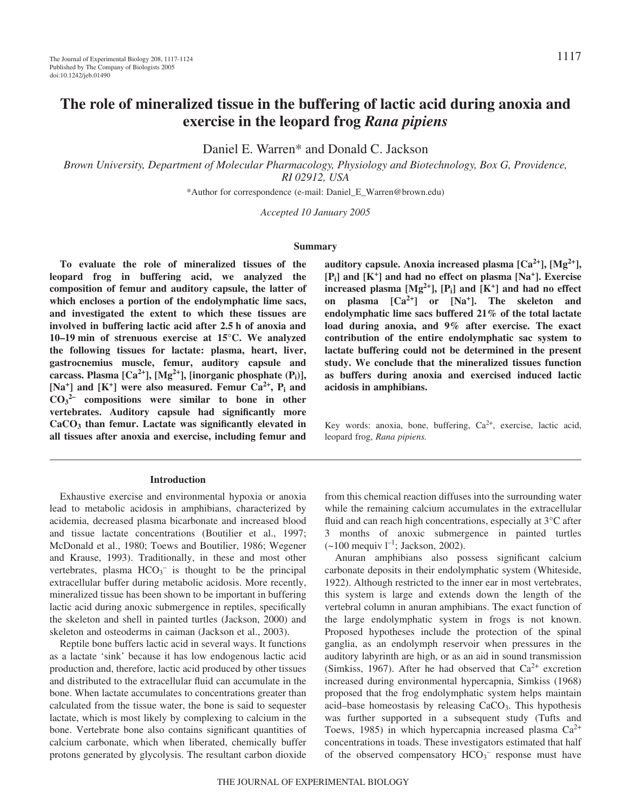# **The role of mineralized tissue in the buffering of lactic acid during anoxia and exercise in the leopard frog** *Rana pipiens*

Daniel E. Warren\* and Donald C. Jackson

*Brown University, Department of Molecular Pharmacology, Physiology and Biotechnology, Box G, Providence, RI 02912, USA*

\*Author for correspondence (e-mail: Daniel\_E\_Warren@brown.edu)

*Accepted 10 January 2005*

#### **Summary**

**To evaluate the role of mineralized tissues of the leopard frog in buffering acid, we analyzed the composition of femur and auditory capsule, the latter of which encloses a portion of the endolymphatic lime sacs, and investigated the extent to which these tissues are** involved in buffering lactic acid after 2.5 h of anoxia and **10–19·min of strenuous exercise at 15°C. We analyzed the following tissues for lactate: plasma, heart, liver, gastrocnemius muscle, femur, auditory capsule and** carcass. Plasma  $[Ca^{2+}]$ ,  $[Mg^{2+}]$ , [inorganic phosphate  $(P_i)$ ],  $[Na^+]$  and  $[K^+]$  were also measured. Femur  $Ca^{2+}$ ,  $P_i$  and **CO3 2– compositions were similar to bone in other vertebrates. Auditory capsule had significantly more CaCO3 than femur. Lactate was significantly elevated in all tissues after anoxia and exercise, including femur and**

#### **Introduction**

Exhaustive exercise and environmental hypoxia or anoxia lead to metabolic acidosis in amphibians, characterized by acidemia, decreased plasma bicarbonate and increased blood and tissue lactate concentrations (Boutilier et al., 1997; McDonald et al., 1980; Toews and Boutilier, 1986; Wegener and Krause, 1993). Traditionally, in these and most other vertebrates, plasma  $HCO_3^-$  is thought to be the principal extracellular buffer during metabolic acidosis. More recently, mineralized tissue has been shown to be important in buffering lactic acid during anoxic submergence in reptiles, specifically the skeleton and shell in painted turtles (Jackson, 2000) and skeleton and osteoderms in caiman (Jackson et al., 2003).

Reptile bone buffers lactic acid in several ways. It functions as a lactate 'sink' because it has low endogenous lactic acid production and, therefore, lactic acid produced by other tissues and distributed to the extracellular fluid can accumulate in the bone. When lactate accumulates to concentrations greater than calculated from the tissue water, the bone is said to sequester lactate, which is most likely by complexing to calcium in the bone. Vertebrate bone also contains significant quantities of calcium carbonate, which when liberated, chemically buffer protons generated by glycolysis. The resultant carbon dioxide

**auditory capsule. Anoxia increased plasma [Ca2+], [Mg2+], [Pi] and [K+] and had no effect on plasma [Na+]. Exercise** increased plasma  $[Mg^{2+}]$ ,  $[P_i]$  and  $[K^+]$  and had no effect **on plasma [Ca2+] or [Na+]. The skeleton and endolymphatic lime sacs buffered 21% of the total lactate load during anoxia, and 9% after exercise. The exact contribution of the entire endolymphatic sac system to lactate buffering could not be determined in the present study. We conclude that the mineralized tissues function as buffers during anoxia and exercised induced lactic acidosis in amphibians.**

Key words: anoxia, bone, buffering,  $Ca^{2+}$ , exercise, lactic acid, leopard frog, *Rana pipiens.*

from this chemical reaction diffuses into the surrounding water while the remaining calcium accumulates in the extracellular fluid and can reach high concentrations, especially at 3°C after 3 months of anoxic submergence in painted turtles  $(-100 \text{ mequiv } l^{-1}; \text{ Jackson}, 2002).$ 

Anuran amphibians also possess significant calcium carbonate deposits in their endolymphatic system (Whiteside, 1922). Although restricted to the inner ear in most vertebrates, this system is large and extends down the length of the vertebral column in anuran amphibians. The exact function of the large endolymphatic system in frogs is not known. Proposed hypotheses include the protection of the spinal ganglia, as an endolymph reservoir when pressures in the auditory labyrinth are high, or as an aid in sound transmission (Simkiss, 1967). After he had observed that  $Ca^{2+}$  excretion increased during environmental hypercapnia, Simkiss (1968) proposed that the frog endolymphatic system helps maintain acid–base homeostasis by releasing  $CaCO<sub>3</sub>$ . This hypothesis was further supported in a subsequent study (Tufts and Toews, 1985) in which hypercapnia increased plasma  $Ca^{2+}$ concentrations in toads. These investigators estimated that half of the observed compensatory  $HCO_3^-$  response must have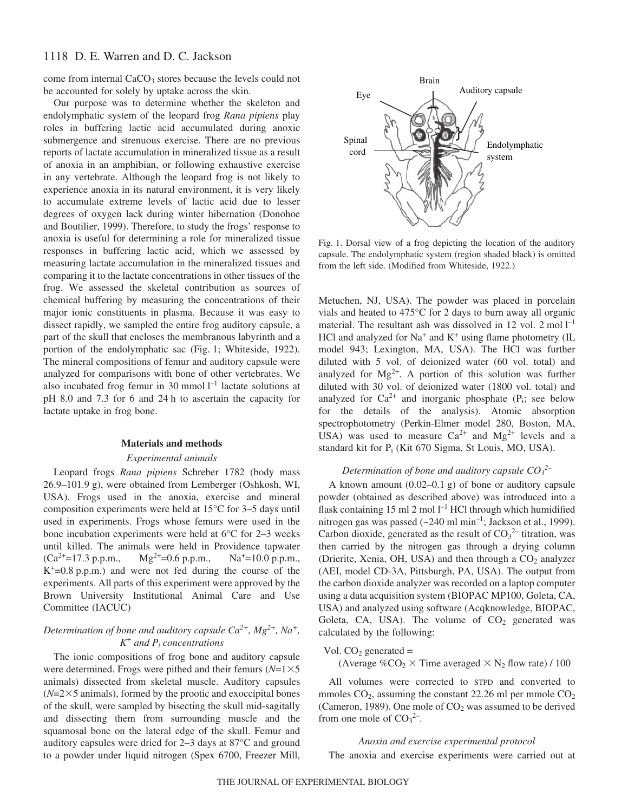### 1118 D. E. Warren and D. C. Jackson

come from internal CaCO<sub>3</sub> stores because the levels could not be accounted for solely by uptake across the skin.

Our purpose was to determine whether the skeleton and endolymphatic system of the leopard frog *Rana pipiens* play roles in buffering lactic acid accumulated during anoxic submergence and strenuous exercise. There are no previous reports of lactate accumulation in mineralized tissue as a result of anoxia in an amphibian, or following exhaustive exercise in any vertebrate. Although the leopard frog is not likely to experience anoxia in its natural environment, it is very likely to accumulate extreme levels of lactic acid due to lesser degrees of oxygen lack during winter hibernation (Donohoe and Boutilier, 1999). Therefore, to study the frogs' response to anoxia is useful for determining a role for mineralized tissue responses in buffering lactic acid, which we assessed by measuring lactate accumulation in the mineralized tissues and comparing it to the lactate concentrations in other tissues of the frog. We assessed the skeletal contribution as sources of chemical buffering by measuring the concentrations of their major ionic constituents in plasma. Because it was easy to dissect rapidly, we sampled the entire frog auditory capsule, a part of the skull that encloses the membranous labyrinth and a portion of the endolymphatic sac (Fig. 1; Whiteside, 1922). The mineral compositions of femur and auditory capsule were analyzed for comparisons with bone of other vertebrates. We also incubated frog femur in 30 mmol  $l^{-1}$  lactate solutions at pH 8.0 and 7.3 for 6 and 24 h to ascertain the capacity for lactate uptake in frog bone.

#### **Materials and methods**

### *Experimental animals*

Leopard frogs *Rana pipiens* Schreber 1782 (body mass 26.9–101.9 g), were obtained from Lemberger (Oshkosh, WI, USA). Frogs used in the anoxia, exercise and mineral composition experiments were held at 15°C for 3–5 days until used in experiments. Frogs whose femurs were used in the bone incubation experiments were held at 6°C for 2–3 weeks until killed. The animals were held in Providence tapwater  $(Ca^{2+}=17.3 p.p.m.,$   $Mg^{2+}=0.6 p.p.m.,$   $Na^{+}=10.0 p.p.m.,$  $K^+=0.8$  p.p.m.) and were not fed during the course of the experiments. All parts of this experiment were approved by the Brown University Institutional Animal Care and Use Committee (IACUC)

### *Determination of bone and auditory capsule Ca2+, Mg2+, Na+, K<sup>+</sup> and Pi concentrations*

The ionic compositions of frog bone and auditory capsule were determined. Frogs were pithed and their femurs  $(N=1\times5$ animals) dissected from skeletal muscle. Auditory capsules  $(N=2\times5$  animals), formed by the prootic and exoccipital bones of the skull, were sampled by bisecting the skull mid-sagitally and dissecting them from surrounding muscle and the squamosal bone on the lateral edge of the skull. Femur and auditory capsules were dried for 2–3 days at 87°C and ground to a powder under liquid nitrogen (Spex 6700, Freezer Mill,



Fig. 1. Dorsal view of a frog depicting the location of the auditory capsule. The endolymphatic system (region shaded black) is omitted from the left side. (Modified from Whiteside, 1922.)

Metuchen, NJ, USA). The powder was placed in porcelain vials and heated to 475°C for 2 days to burn away all organic material. The resultant ash was dissolved in 12 vol. 2 mol  $l^{-1}$ HCl and analyzed for  $Na^+$  and  $K^+$  using flame photometry (IL model 943; Lexington, MA, USA). The HCl was further diluted with 5 vol. of deionized water (60 vol. total) and analyzed for  $Mg^{2+}$ . A portion of this solution was further diluted with 30 vol. of deionized water (1800 vol. total) and analyzed for  $Ca^{2+}$  and inorganic phosphate ( $P_i$ ; see below for the details of the analysis). Atomic absorption spectrophotometry (Perkin-Elmer model 280, Boston, MA, USA) was used to measure  $Ca^{2+}$  and  $Mg^{2+}$  levels and a standard kit for  $P_i$  (Kit 670 Sigma, St Louis, MO, USA).

### *Determination of bone and auditory capsule CO3 2–*

A known amount  $(0.02-0.1\text{ g})$  of bone or auditory capsule powder (obtained as described above) was introduced into a flask containing 15 ml 2 mol  $l^{-1}$  HCl through which humidified nitrogen gas was passed  $(-240 \text{ ml min}^{-1})$ ; Jackson et al., 1999). Carbon dioxide, generated as the result of  $CO<sub>3</sub><sup>2</sup>$  titration, was then carried by the nitrogen gas through a drying column (Drierite, Xenia, OH, USA) and then through a  $CO<sub>2</sub>$  analyzer (AEI, model CD-3A, Pittsburgh, PA, USA). The output from the carbon dioxide analyzer was recorded on a laptop computer using a data acquisition system (BIOPAC MP100, Goleta, CA, USA) and analyzed using software (Acqknowledge, BIOPAC, Goleta, CA, USA). The volume of  $CO<sub>2</sub>$  generated was calculated by the following:

Vol.  $CO<sub>2</sub>$  generated =

(Average  $\%CO_2 \times$  Time averaged  $\times$  N<sub>2</sub> flow rate) / 100

All volumes were corrected to STPD and converted to mmoles  $CO<sub>2</sub>$ , assuming the constant 22.26 ml per mmole  $CO<sub>2</sub>$ (Cameron, 1989). One mole of  $CO<sub>2</sub>$  was assumed to be derived from one mole of  $CO<sub>3</sub><sup>2</sup>$ .

*Anoxia and exercise experimental protocol* The anoxia and exercise experiments were carried out at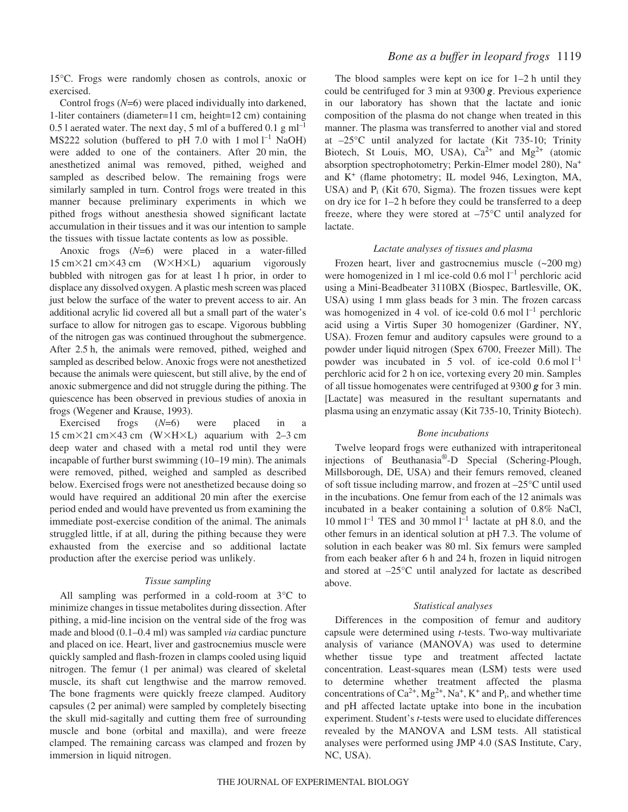15°C. Frogs were randomly chosen as controls, anoxic or exercised.

Control frogs (*N*=6) were placed individually into darkened, 1-liter containers (diameter=11 cm, height=12 cm) containing 0.5 l aerated water. The next day, 5 ml of a buffered 0.1  $g$  ml<sup>-1</sup> MS222 solution (buffered to pH 7.0 with  $1 \text{ mol } l^{-1}$  NaOH) were added to one of the containers. After 20 min, the anesthetized animal was removed, pithed, weighed and sampled as described below. The remaining frogs were similarly sampled in turn. Control frogs were treated in this manner because preliminary experiments in which we pithed frogs without anesthesia showed significant lactate accumulation in their tissues and it was our intention to sample the tissues with tissue lactate contents as low as possible.

Anoxic frogs (*N*=6) were placed in a water-filled  $15 \text{ cm} \times 21 \text{ cm} \times 43 \text{ cm}$  (W $\times$ H $\times$ L) aquarium vigorously bubbled with nitrogen gas for at least 1 h prior, in order to displace any dissolved oxygen. A plastic mesh screen was placed just below the surface of the water to prevent access to air. An additional acrylic lid covered all but a small part of the water's surface to allow for nitrogen gas to escape. Vigorous bubbling of the nitrogen gas was continued throughout the submergence. After 2.5 h, the animals were removed, pithed, weighed and sampled as described below. Anoxic frogs were not anesthetized because the animals were quiescent, but still alive, by the end of anoxic submergence and did not struggle during the pithing. The quiescence has been observed in previous studies of anoxia in frogs (Wegener and Krause, 1993).

Exercised frogs (*N*=6) were placed in a  $15 \text{ cm} \times 21 \text{ cm} \times 43 \text{ cm}$  (W $\times$ H $\times$ L) aquarium with 2–3 cm deep water and chased with a metal rod until they were incapable of further burst swimming  $(10-19 \text{ min})$ . The animals were removed, pithed, weighed and sampled as described below. Exercised frogs were not anesthetized because doing so would have required an additional 20 min after the exercise period ended and would have prevented us from examining the immediate post-exercise condition of the animal. The animals struggled little, if at all, during the pithing because they were exhausted from the exercise and so additional lactate production after the exercise period was unlikely.

### *Tissue sampling*

All sampling was performed in a cold-room at 3°C to minimize changes in tissue metabolites during dissection. After pithing, a mid-line incision on the ventral side of the frog was made and blood (0.1–0.4 ml) was sampled *via* cardiac puncture and placed on ice. Heart, liver and gastrocnemius muscle were quickly sampled and flash-frozen in clamps cooled using liquid nitrogen. The femur (1 per animal) was cleared of skeletal muscle, its shaft cut lengthwise and the marrow removed. The bone fragments were quickly freeze clamped. Auditory capsules (2 per animal) were sampled by completely bisecting the skull mid-sagitally and cutting them free of surrounding muscle and bone (orbital and maxilla), and were freeze clamped. The remaining carcass was clamped and frozen by immersion in liquid nitrogen.

### *Bone as a buffer in leopard frogs* 1119

The blood samples were kept on ice for  $1-2$  h until they could be centrifuged for 3 min at 9300 **g**. Previous experience in our laboratory has shown that the lactate and ionic composition of the plasma do not change when treated in this manner. The plasma was transferred to another vial and stored at –25°C until analyzed for lactate (Kit 735-10; Trinity Biotech, St Louis, MO, USA),  $Ca^{2+}$  and  $Mg^{2+}$  (atomic absorption spectrophotometry; Perkin-Elmer model 280), Na<sup>+</sup> and  $K^+$  (flame photometry; IL model 946, Lexington, MA, USA) and  $P_i$  (Kit 670, Sigma). The frozen tissues were kept on dry ice for  $1-2$  h before they could be transferred to a deep freeze, where they were stored at –75°C until analyzed for lactate.

### *Lactate analyses of tissues and plasma*

Frozen heart, liver and gastrocnemius muscle  $(-200$  mg) were homogenized in 1 ml ice-cold 0.6 mol l<sup>-1</sup> perchloric acid using a Mini-Beadbeater 3110BX (Biospec, Bartlesville, OK, USA) using 1 mm glass beads for 3 min. The frozen carcass was homogenized in 4 vol. of ice-cold  $0.6 \text{ mol} l^{-1}$  perchloric acid using a Virtis Super 30 homogenizer (Gardiner, NY, USA). Frozen femur and auditory capsules were ground to a powder under liquid nitrogen (Spex 6700, Freezer Mill). The powder was incubated in 5 vol. of ice-cold  $0.6 \text{ mol } l^{-1}$ perchloric acid for 2 h on ice, vortexing every 20 min. Samples of all tissue homogenates were centrifuged at 9300 **g** for 3 min. [Lactate] was measured in the resultant supernatants and plasma using an enzymatic assay (Kit 735-10, Trinity Biotech).

### *Bone incubations*

Twelve leopard frogs were euthanized with intraperitoneal injections of Beuthanasia®-D Special (Schering-Plough, Millsborough, DE, USA) and their femurs removed, cleaned of soft tissue including marrow, and frozen at –25°C until used in the incubations. One femur from each of the 12 animals was incubated in a beaker containing a solution of 0.8% NaCl, 10 mmol  $l^{-1}$  TES and 30 mmol  $l^{-1}$  lactate at pH 8.0, and the other femurs in an identical solution at pH 7.3. The volume of solution in each beaker was 80 ml. Six femurs were sampled from each beaker after 6 h and 24 h, frozen in liquid nitrogen and stored at –25°C until analyzed for lactate as described above.

### *Statistical analyses*

Differences in the composition of femur and auditory capsule were determined using *t*-tests. Two-way multivariate analysis of variance (MANOVA) was used to determine whether tissue type and treatment affected lactate concentration. Least-squares mean (LSM) tests were used to determine whether treatment affected the plasma concentrations of  $Ca^{2+}$ ,  $Mg^{2+}$ ,  $Na^{+}$ ,  $K^{+}$  and  $P_i$ , and whether time and pH affected lactate uptake into bone in the incubation experiment. Student's *t*-tests were used to elucidate differences revealed by the MANOVA and LSM tests. All statistical analyses were performed using JMP 4.0 (SAS Institute, Cary, NC, USA).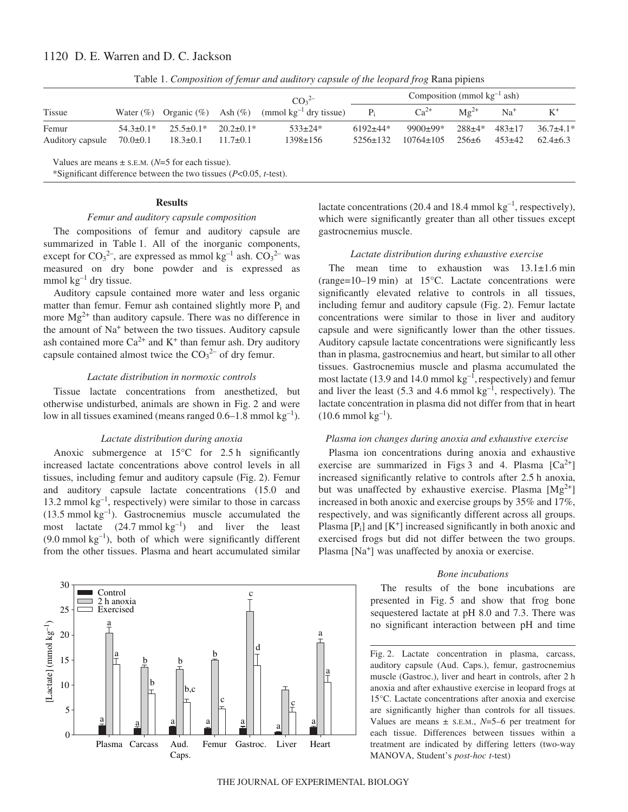## 1120 D. E. Warren and D. C. Jackson

| <b>Tissue</b>                                    |                 | Water $(\%)$ Organic $(\%)$ Ash $(\%)$ |                 | CO <sub>3</sub> <sup>2</sup><br>(mmol $kg^{-1}$ dry tissue) | Composition (mmol $kg^{-1}$ ash) |                 |                 |              |               |
|--------------------------------------------------|-----------------|----------------------------------------|-----------------|-------------------------------------------------------------|----------------------------------|-----------------|-----------------|--------------|---------------|
|                                                  |                 |                                        |                 |                                                             | $P_i$                            | $Ca^{2+}$       | $M\varrho^{2+}$ | $Na+$        | $K^+$         |
| Femur                                            | $54.3 \pm 0.1*$ | $25.5 \pm 0.1*$                        | $20.2 \pm 0.1*$ | $533 \pm 24*$                                               | $6192+44*$                       | $9900+99*$      | $288 + 4*$      | $483 \pm 17$ | $36.7\pm4.1*$ |
| Auditory capsule                                 | $70.0 \pm 0.1$  | $18.3 \pm 0.1$                         | $11.7 \pm 0.1$  | $1398 \pm 156$                                              | $5256 \pm 132$                   | $10764 \pm 105$ | $256 \pm 6$     | $453 \pm 42$ | $62.4\pm 6.3$ |
| Values are means $+$ s E M (N–5 for each tissue) |                 |                                        |                 |                                                             |                                  |                 |                 |              |               |

Table 1. *Composition of femur and auditory capsule of the leopard frog Rana pipiens* 

Values are means  $\pm$  s.E.M. ( $N=5$  for each tissue).

\*Significant difference between the two tissues (*P*<0.05, *t*-test).

### **Results**

### *Femur and auditory capsule composition*

The compositions of femur and auditory capsule are summarized in Table 1. All of the inorganic components, except for  $CO_3^2$ <sup>-</sup>, are expressed as mmol kg<sup>-1</sup> ash.  $CO_3^2$ <sup>-</sup> was measured on dry bone powder and is expressed as mmol $kg^{-1}$  dry tissue.

Auditory capsule contained more water and less organic matter than femur. Femur ash contained slightly more  $P_i$  and more  $Mg^{2+}$  than auditory capsule. There was no difference in the amount of Na+ between the two tissues. Auditory capsule ash contained more  $Ca^{2+}$  and  $K^+$  than femur ash. Dry auditory capsule contained almost twice the  $CO<sub>3</sub><sup>2-</sup>$  of dry femur.

### *Lactate distribution in normoxic controls*

Tissue lactate concentrations from anesthetized, but otherwise undisturbed, animals are shown in Fig. 2 and were low in all tissues examined (means ranged  $0.6-1.8$  mmol  $kg^{-1}$ ).

### *Lactate distribution during anoxia*

Anoxic submergence at  $15^{\circ}$ C for 2.5 h significantly increased lactate concentrations above control levels in all tissues, including femur and auditory capsule (Fig. 2). Femur and auditory capsule lactate concentrations (15.0 and 13.2 mmol  $kg^{-1}$ , respectively) were similar to those in carcass  $(13.5 \text{ mmol kg}^{-1})$ . Gastrocnemius muscle accumulated the most lactate  $(24.7 \text{ mmol kg}^{-1})$  and liver the least  $(9.0~\mathrm{mmol~kg}^{-1})$ , both of which were significantly different from the other tissues. Plasma and heart accumulated similar



lactate concentrations (20.4 and 18.4 mmol  $kg^{-1}$ , respectively), which were significantly greater than all other tissues except gastrocnemius muscle.

### *Lactate distribution during exhaustive exercise*

The mean time to exhaustion was  $13.1 \pm 1.6$  min (range= $10-19$  min) at 15 $^{\circ}$ C. Lactate concentrations were significantly elevated relative to controls in all tissues, including femur and auditory capsule (Fig. 2). Femur lactate concentrations were similar to those in liver and auditory capsule and were significantly lower than the other tissues. Auditory capsule lactate concentrations were significantly less than in plasma, gastrocnemius and heart, but similar to all other tissues. Gastrocnemius muscle and plasma accumulated the most lactate (13.9 and 14.0 mmol  $kg^{-1}$ , respectively) and femur and liver the least (5.3 and 4.6 mmol  $kg^{-1}$ , respectively). The lactate concentration in plasma did not differ from that in heart  $(10.6 \text{ mmol kg}^{-1})$ .

### *Plasma ion changes during anoxia and exhaustive exercise*

Plasma ion concentrations during anoxia and exhaustive exercise are summarized in Figs 3 and 4. Plasma  $[Ca^{2+}]$ increased significantly relative to controls after 2.5 h anoxia, but was unaffected by exhaustive exercise. Plasma  $[Mg^{2+}]$ increased in both anoxic and exercise groups by 35% and 17%, respectively, and was significantly different across all groups. Plasma  $[P_i]$  and  $[K^+]$  increased significantly in both anoxic and exercised frogs but did not differ between the two groups. Plasma [Na<sup>+</sup>] was unaffected by anoxia or exercise.

### *Bone incubations*

The results of the bone incubations are presented in Fig. 5 and show that frog bone sequestered lactate at pH 8.0 and 7.3. There was no significant interaction between pH and time

Fig. 2. Lactate concentration in plasma, carcass, auditory capsule (Aud. Caps.), femur, gastrocnemius muscle (Gastroc.), liver and heart in controls, after 2 h anoxia and after exhaustive exercise in leopard frogs at 15°C. Lactate concentrations after anoxia and exercise are significantly higher than controls for all tissues. Values are means  $\pm$  s.e.m.,  $N=5-6$  per treatment for each tissue. Differences between tissues within a treatment are indicated by differing letters (two-way MANOVA, Student's *post-hoc t*-test)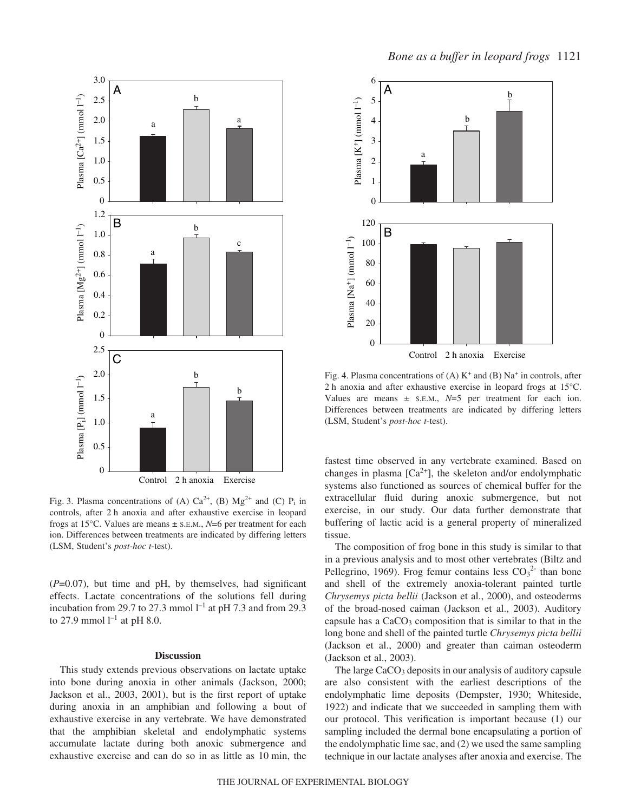

Fig. 3. Plasma concentrations of (A)  $Ca^{2+}$ , (B)  $Mg^{2+}$  and (C)  $P_i$  in controls, after 2 h anoxia and after exhaustive exercise in leopard frogs at 15°C. Values are means ± S.E.M., *N*=6 per treatment for each ion. Differences between treatments are indicated by differing letters (LSM, Student's *post-hoc t*-test).

 $(P=0.07)$ , but time and pH, by themselves, had significant effects. Lactate concentrations of the solutions fell during incubation from 29.7 to 27.3 mmol  $l^{-1}$  at pH 7.3 and from 29.3 to 27.9 mmol  $l^{-1}$  at pH 8.0.

#### **Discussion**

This study extends previous observations on lactate uptake into bone during anoxia in other animals (Jackson, 2000; Jackson et al., 2003, 2001), but is the first report of uptake during anoxia in an amphibian and following a bout of exhaustive exercise in any vertebrate. We have demonstrated that the amphibian skeletal and endolymphatic systems accumulate lactate during both anoxic submergence and exhaustive exercise and can do so in as little as 10 min, the



Fig. 4. Plasma concentrations of (A)  $K^+$  and (B) Na<sup>+</sup> in controls, after 2 h anoxia and after exhaustive exercise in leopard frogs at  $15^{\circ}$ C. Values are means ± S.E.M., *N*=5 per treatment for each ion. Differences between treatments are indicated by differing letters (LSM, Student's *post-hoc t*-test).

fastest time observed in any vertebrate examined. Based on changes in plasma  $[Ca^{2+}]$ , the skeleton and/or endolymphatic systems also functioned as sources of chemical buffer for the extracellular fluid during anoxic submergence, but not exercise, in our study. Our data further demonstrate that buffering of lactic acid is a general property of mineralized tissue.

The composition of frog bone in this study is similar to that in a previous analysis and to most other vertebrates (Biltz and Pellegrino, 1969). Frog femur contains less  $CO_3^2$  than bone and shell of the extremely anoxia-tolerant painted turtle *Chrysemys picta bellii* (Jackson et al., 2000), and osteoderms of the broad-nosed caiman (Jackson et al., 2003). Auditory capsule has a  $CaCO<sub>3</sub>$  composition that is similar to that in the long bone and shell of the painted turtle *Chrysemys picta bellii* (Jackson et al., 2000) and greater than caiman osteoderm (Jackson et al., 2003).

The large  $CaCO<sub>3</sub>$  deposits in our analysis of auditory capsule are also consistent with the earliest descriptions of the endolymphatic lime deposits (Dempster, 1930; Whiteside, 1922) and indicate that we succeeded in sampling them with our protocol. This verification is important because (1) our sampling included the dermal bone encapsulating a portion of the endolymphatic lime sac, and (2) we used the same sampling technique in our lactate analyses after anoxia and exercise. The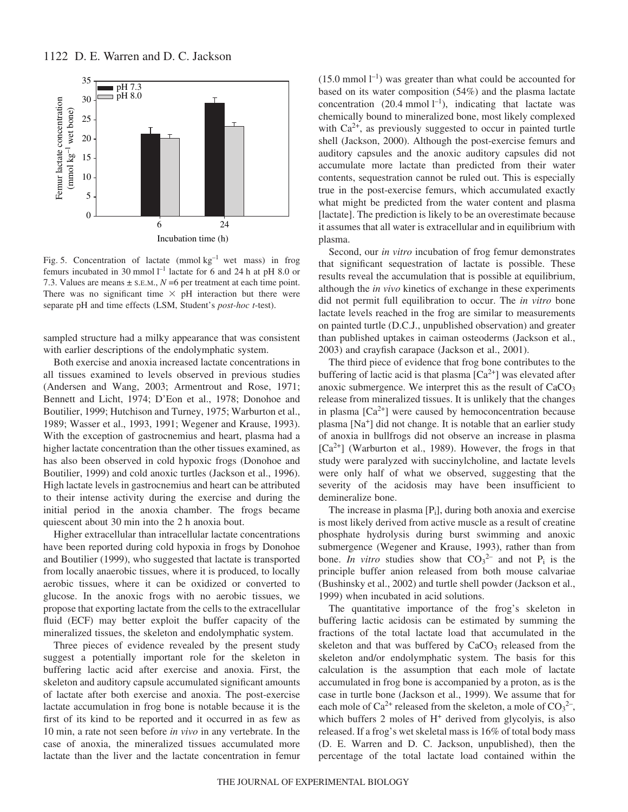

Fig. 5. Concentration of lactate (mmol  $kg^{-1}$  wet mass) in frog femurs incubated in 30 mmol  $l^{-1}$  lactate for 6 and 24 h at pH 8.0 or 7.3. Values are means  $\pm$  s.e.m.,  $N = 6$  per treatment at each time point. There was no significant time  $\times$  pH interaction but there were separate pH and time effects (LSM, Student's *post-hoc t*-test).

sampled structure had a milky appearance that was consistent with earlier descriptions of the endolymphatic system.

Both exercise and anoxia increased lactate concentrations in all tissues examined to levels observed in previous studies (Andersen and Wang, 2003; Armentrout and Rose, 1971; Bennett and Licht, 1974; D'Eon et al., 1978; Donohoe and Boutilier, 1999; Hutchison and Turney, 1975; Warburton et al., 1989; Wasser et al., 1993, 1991; Wegener and Krause, 1993). With the exception of gastrocnemius and heart, plasma had a higher lactate concentration than the other tissues examined, as has also been observed in cold hypoxic frogs (Donohoe and Boutilier, 1999) and cold anoxic turtles (Jackson et al., 1996). High lactate levels in gastrocnemius and heart can be attributed to their intense activity during the exercise and during the initial period in the anoxia chamber. The frogs became quiescent about 30 min into the 2 h anoxia bout.

Higher extracellular than intracellular lactate concentrations have been reported during cold hypoxia in frogs by Donohoe and Boutilier (1999), who suggested that lactate is transported from locally anaerobic tissues, where it is produced, to locally aerobic tissues, where it can be oxidized or converted to glucose. In the anoxic frogs with no aerobic tissues, we propose that exporting lactate from the cells to the extracellular fluid (ECF) may better exploit the buffer capacity of the mineralized tissues, the skeleton and endolymphatic system.

Three pieces of evidence revealed by the present study suggest a potentially important role for the skeleton in buffering lactic acid after exercise and anoxia. First, the skeleton and auditory capsule accumulated significant amounts of lactate after both exercise and anoxia. The post-exercise lactate accumulation in frog bone is notable because it is the first of its kind to be reported and it occurred in as few as 10 min, a rate not seen before *in vivo* in any vertebrate. In the case of anoxia, the mineralized tissues accumulated more lactate than the liver and the lactate concentration in femur

 $(15.0 \text{ mmol } l^{-1})$  was greater than what could be accounted for based on its water composition (54%) and the plasma lactate concentration (20.4 mmol  $l^{-1}$ ), indicating that lactate was chemically bound to mineralized bone, most likely complexed with  $Ca<sup>2+</sup>$ , as previously suggested to occur in painted turtle shell (Jackson, 2000). Although the post-exercise femurs and auditory capsules and the anoxic auditory capsules did not accumulate more lactate than predicted from their water contents, sequestration cannot be ruled out. This is especially true in the post-exercise femurs, which accumulated exactly what might be predicted from the water content and plasma [lactate]. The prediction is likely to be an overestimate because it assumes that all water is extracellular and in equilibrium with plasma.

Second, our *in vitro* incubation of frog femur demonstrates that significant sequestration of lactate is possible. These results reveal the accumulation that is possible at equilibrium, although the *in vivo* kinetics of exchange in these experiments did not permit full equilibration to occur. The *in vitro* bone lactate levels reached in the frog are similar to measurements on painted turtle (D.C.J., unpublished observation) and greater than published uptakes in caiman osteoderms (Jackson et al., 2003) and crayfish carapace (Jackson et al., 2001).

The third piece of evidence that frog bone contributes to the buffering of lactic acid is that plasma  $[Ca<sup>2+</sup>]$  was elevated after anoxic submergence. We interpret this as the result of  $CaCO<sub>3</sub>$ release from mineralized tissues. It is unlikely that the changes in plasma  $[Ca^{2+}]$  were caused by hemoconcentration because plasma [Na+] did not change. It is notable that an earlier study of anoxia in bullfrogs did not observe an increase in plasma  $[Ca^{2+}]$  (Warburton et al., 1989). However, the frogs in that study were paralyzed with succinylcholine, and lactate levels were only half of what we observed, suggesting that the severity of the acidosis may have been insufficient to demineralize bone.

The increase in plasma  $[P_i]$ , during both anoxia and exercise is most likely derived from active muscle as a result of creatine phosphate hydrolysis during burst swimming and anoxic submergence (Wegener and Krause, 1993), rather than from bone. *In vitro* studies show that  $CO_3^2$  and not P<sub>i</sub> is the principle buffer anion released from both mouse calvariae (Bushinsky et al., 2002) and turtle shell powder (Jackson et al., 1999) when incubated in acid solutions.

The quantitative importance of the frog's skeleton in buffering lactic acidosis can be estimated by summing the fractions of the total lactate load that accumulated in the skeleton and that was buffered by  $CaCO<sub>3</sub>$  released from the skeleton and/or endolymphatic system. The basis for this calculation is the assumption that each mole of lactate accumulated in frog bone is accompanied by a proton, as is the case in turtle bone (Jackson et al., 1999). We assume that for each mole of  $Ca^{2+}$  released from the skeleton, a mole of  $CO_3^2$ , which buffers 2 moles of  $H<sup>+</sup>$  derived from glycolyis, is also released. If a frog's wet skeletal mass is 16% of total body mass (D. E. Warren and D. C. Jackson, unpublished), then the percentage of the total lactate load contained within the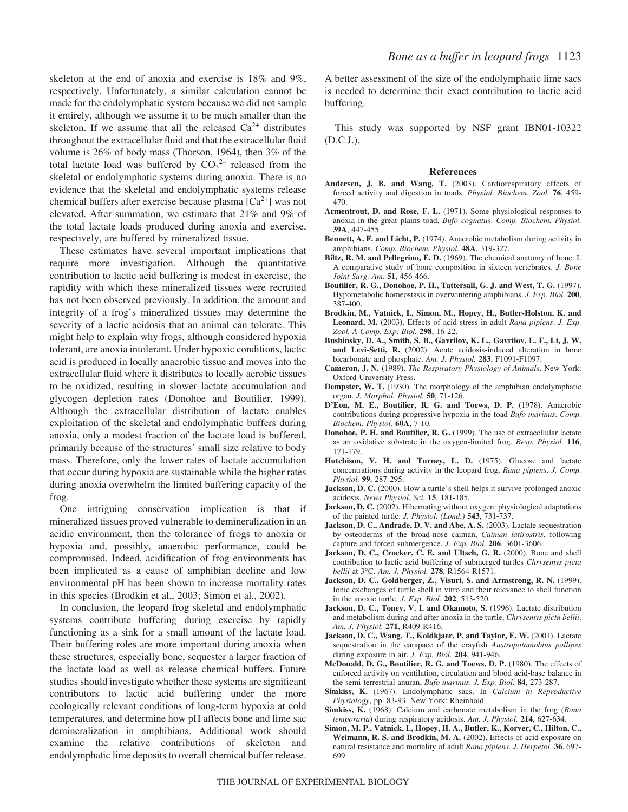skeleton at the end of anoxia and exercise is 18% and 9%, respectively. Unfortunately, a similar calculation cannot be made for the endolymphatic system because we did not sample it entirely, although we assume it to be much smaller than the skeleton. If we assume that all the released  $Ca^{2+}$  distributes throughout the extracellular fluid and that the extracellular fluid volume is 26% of body mass (Thorson, 1964), then 3% of the total lactate load was buffered by  $CO_3^2$  released from the skeletal or endolymphatic systems during anoxia. There is no evidence that the skeletal and endolymphatic systems release chemical buffers after exercise because plasma  $[Ca^{2+}]$  was not elevated. After summation, we estimate that 21% and 9% of the total lactate loads produced during anoxia and exercise, respectively, are buffered by mineralized tissue.

These estimates have several important implications that require more investigation. Although the quantitative contribution to lactic acid buffering is modest in exercise, the rapidity with which these mineralized tissues were recruited has not been observed previously. In addition, the amount and integrity of a frog's mineralized tissues may determine the severity of a lactic acidosis that an animal can tolerate. This might help to explain why frogs, although considered hypoxia tolerant, are anoxia intolerant. Under hypoxic conditions, lactic acid is produced in locally anaerobic tissue and moves into the extracellular fluid where it distributes to locally aerobic tissues to be oxidized, resulting in slower lactate accumulation and glycogen depletion rates (Donohoe and Boutilier, 1999). Although the extracellular distribution of lactate enables exploitation of the skeletal and endolymphatic buffers during anoxia, only a modest fraction of the lactate load is buffered, primarily because of the structures' small size relative to body mass. Therefore, only the lower rates of lactate accumulation that occur during hypoxia are sustainable while the higher rates during anoxia overwhelm the limited buffering capacity of the frog.

One intriguing conservation implication is that if mineralized tissues proved vulnerable to demineralization in an acidic environment, then the tolerance of frogs to anoxia or hypoxia and, possibly, anaerobic performance, could be compromised. Indeed, acidification of frog environments has been implicated as a cause of amphibian decline and low environmental pH has been shown to increase mortality rates in this species (Brodkin et al., 2003; Simon et al., 2002).

In conclusion, the leopard frog skeletal and endolymphatic systems contribute buffering during exercise by rapidly functioning as a sink for a small amount of the lactate load. Their buffering roles are more important during anoxia when these structures, especially bone, sequester a larger fraction of the lactate load as well as release chemical buffers. Future studies should investigate whether these systems are significant contributors to lactic acid buffering under the more ecologically relevant conditions of long-term hypoxia at cold temperatures, and determine how pH affects bone and lime sac demineralization in amphibians. Additional work should examine the relative contributions of skeleton and endolymphatic lime deposits to overall chemical buffer release.

A better assessment of the size of the endolymphatic lime sacs is needed to determine their exact contribution to lactic acid buffering.

This study was supported by NSF grant IBN01-10322 (D.C.J.).

#### **References**

- **Andersen, J. B. and Wang, T.** (2003). Cardiorespiratory effects of forced activity and digestion in toads. *Physiol. Biochem. Zool.* **76**, 459- 470.
- **Armentrout, D. and Rose, F. L.** (1971). Some physiological responses to anoxia in the great plains toad, *Bufo cognatus*. *Comp. Biochem. Physiol.* **39A**, 447-455.
- **Bennett, A. F. and Licht, P.** (1974). Anaerobic metabolism during activity in amphibians. *Comp. Biochem. Physiol.* **48A**, 319-327.
- **Biltz, R. M. and Pellegrino, E. D.** (1969). The chemical anatomy of bone. I. A comparative study of bone composition in sixteen vertebrates. *J. Bone Joint Surg. Am.* **51**, 456-466.
- **Boutilier, R. G., Donohoe, P. H., Tattersall, G. J. and West, T. G.** (1997). Hypometabolic homeostasis in overwintering amphibians. *J. Exp. Biol.* **200**, 387-400.
- **Brodkin, M., Vatnick, I., Simon, M., Hopey, H., Butler-Holston, K. and Leonard, M.** (2003). Effects of acid stress in adult *Rana pipiens*. *J. Exp. Zool. A Comp. Exp. Biol.* **298**, 16-22.
- **Bushinsky, D. A., Smith, S. B., Gavrilov, K. L., Gavrilov, L. F., Li, J. W. and Levi-Setti, R.** (2002). Acute acidosis-induced alteration in bone bicarbonate and phosphate. *Am. J. Physiol.* **283**, F1091-F1097.
- **Cameron, J. N.** (1989). *The Respiratory Physiology of Animals*. New York: Oxford University Press.
- **Dempster, W. T.** (1930). The morphology of the amphibian endolymphatic organ. *J. Morphol. Physiol.* **50**, 71-126.
- **D'Eon, M. E., Boutilier, R. G. and Toews, D. P.** (1978). Anaerobic contributions during progressive hypoxia in the toad *Bufo marinus*. *Comp. Biochem. Physiol.* **60A**, 7-10.
- **Donohoe, P. H. and Boutilier, R. G.** (1999). The use of extracellular lactate as an oxidative substrate in the oxygen-limited frog. *Resp. Physiol.* **116**, 171-179.
- **Hutchison, V. H. and Turney, L. D.** (1975). Glucose and lactate concentrations during activity in the leopard frog, *Rana pipiens*. *J. Comp. Physiol.* **99**, 287-295.
- **Jackson, D. C.** (2000). How a turtle's shell helps it survive prolonged anoxic acidosis. *News Physiol. Sci.* **15**, 181-185.
- **Jackson, D. C.** (2002). Hibernating without oxygen: physiological adaptations of the painted turtle. *J. Physiol. (Lond.)* **543**, 731-737.
- **Jackson, D. C., Andrade, D. V. and Abe, A. S.** (2003). Lactate sequestration by osteoderms of the broad-nose caiman, *Caiman latirostris*, following capture and forced submergence. *J. Exp. Biol.* **206**, 3601-3606.
- **Jackson, D. C., Crocker, C. E. and Ultsch, G. R.** (2000). Bone and shell contribution to lactic acid buffering of submerged turtles *Chrysemys picta bellii* at 3°C. *Am. J. Physiol.* **278**, R1564-R1571.
- **Jackson, D. C., Goldberger, Z., Visuri, S. and Armstrong, R. N.** (1999). Ionic exchanges of turtle shell in vitro and their relevance to shell function in the anoxic turtle. *J. Exp. Biol.* **202**, 513-520.
- **Jackson, D. C., Toney, V. I. and Okamoto, S.** (1996). Lactate distribution and metabolism during and after anoxia in the turtle, *Chrysemys picta bellii*. *Am. J. Physiol.* **271**, R409-R416.
- **Jackson, D. C., Wang, T., Koldkjaer, P. and Taylor, E. W.** (2001). Lactate sequestration in the carapace of the crayfish *Austropotamobius pallipes* during exposure in air. *J. Exp. Biol.* **204**, 941-946.
- **McDonald, D. G., Boutilier, R. G. and Toews, D. P.** (1980). The effects of enforced activity on ventilation, circulation and blood acid-base balance in the semi-terrestrial anuran, *Bufo marinus*. *J. Exp. Biol.* **84**, 273-287.
- **Simkiss, K.** (1967). Endolymphatic sacs. In *Calcium in Reproductive Physiology*, pp. 83-93. New York: Rheinhold.
- **Simkiss, K.** (1968). Calcium and carbonate metabolism in the frog (*Rana temporaria*) during respiratory acidosis. *Am. J. Physiol.* **214**, 627-634.
- **Simon, M. P., Vatnick, I., Hopey, H. A., Butler, K., Korver, C., Hilton, C., Weimann, R. S. and Brodkin, M. A.** (2002). Effects of acid exposure on natural resistance and mortality of adult *Rana pipiens*. *J. Herpetol.* **36**, 697- 699.